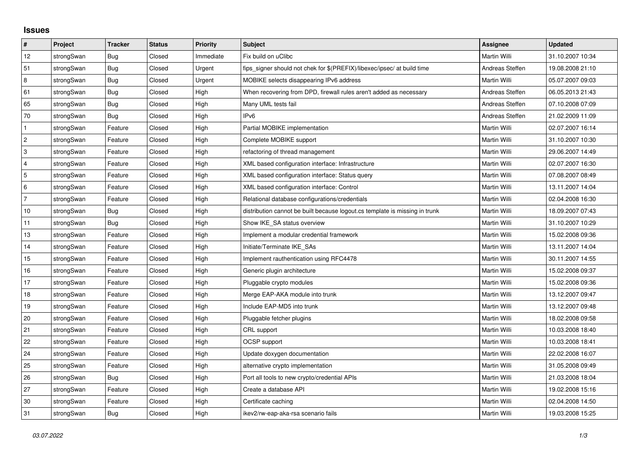## **Issues**

| $\pmb{\#}$   | Project    | <b>Tracker</b> | <b>Status</b> | <b>Priority</b> | <b>Subject</b>                                                              | <b>Assignee</b>     | <b>Updated</b>   |
|--------------|------------|----------------|---------------|-----------------|-----------------------------------------------------------------------------|---------------------|------------------|
| 12           | strongSwan | Bug            | Closed        | Immediate       | Fix build on uClibc                                                         | <b>Martin Willi</b> | 31.10.2007 10:34 |
| 51           | strongSwan | Bug            | Closed        | Urgent          | fips signer should not chek for \$(PREFIX)/libexec/ipsec/ at build time     | Andreas Steffen     | 19.08.2008 21:10 |
| 8            | strongSwan | Bug            | Closed        | Urgent          | MOBIKE selects disappearing IPv6 address                                    | Martin Willi        | 05.07.2007 09:03 |
| 61           | strongSwan | Bug            | Closed        | High            | When recovering from DPD, firewall rules aren't added as necessary          | Andreas Steffen     | 06.05.2013 21:43 |
| 65           | strongSwan | Bug            | Closed        | High            | Many UML tests fail                                                         | Andreas Steffen     | 07.10.2008 07:09 |
| 70           | strongSwan | Bug            | Closed        | High            | IP <sub>v6</sub>                                                            | Andreas Steffen     | 21.02.2009 11:09 |
| $\mathbf{1}$ | strongSwan | Feature        | Closed        | High            | Partial MOBIKE implementation                                               | Martin Willi        | 02.07.2007 16:14 |
| 2            | strongSwan | Feature        | Closed        | High            | Complete MOBIKE support                                                     | Martin Willi        | 31.10.2007 10:30 |
| 3            | strongSwan | Feature        | Closed        | High            | refactoring of thread management                                            | Martin Willi        | 29.06.2007 14:49 |
| 4            | strongSwan | Feature        | Closed        | High            | XML based configuration interface: Infrastructure                           | Martin Willi        | 02.07.2007 16:30 |
| 5            | strongSwan | Feature        | Closed        | High            | XML based configuration interface: Status query                             | Martin Willi        | 07.08.2007 08:49 |
| 6            | strongSwan | Feature        | Closed        | High            | XML based configuration interface: Control                                  | Martin Willi        | 13.11.2007 14:04 |
| 7            | strongSwan | Feature        | Closed        | High            | Relational database configurations/credentials                              | Martin Willi        | 02.04.2008 16:30 |
| 10           | strongSwan | Bug            | Closed        | High            | distribution cannot be built because logout.cs template is missing in trunk | Martin Willi        | 18.09.2007 07:43 |
| 11           | strongSwan | Bug            | Closed        | High            | Show IKE SA status overview                                                 | Martin Willi        | 31.10.2007 10:29 |
| 13           | strongSwan | Feature        | Closed        | High            | Implement a modular credential framework                                    | Martin Willi        | 15.02.2008 09:36 |
| 14           | strongSwan | Feature        | Closed        | High            | Initiate/Terminate IKE SAs                                                  | Martin Willi        | 13.11.2007 14:04 |
| 15           | strongSwan | Feature        | Closed        | High            | Implement rauthentication using RFC4478                                     | Martin Willi        | 30.11.2007 14:55 |
| 16           | strongSwan | Feature        | Closed        | High            | Generic plugin architecture                                                 | Martin Willi        | 15.02.2008 09:37 |
| 17           | strongSwan | Feature        | Closed        | High            | Pluggable crypto modules                                                    | Martin Willi        | 15.02.2008 09:36 |
| 18           | strongSwan | Feature        | Closed        | High            | Merge EAP-AKA module into trunk                                             | Martin Willi        | 13.12.2007 09:47 |
| 19           | strongSwan | Feature        | Closed        | High            | Include EAP-MD5 into trunk                                                  | Martin Willi        | 13.12.2007 09:48 |
| 20           | strongSwan | Feature        | Closed        | High            | Pluggable fetcher plugins                                                   | Martin Willi        | 18.02.2008 09:58 |
| 21           | strongSwan | Feature        | Closed        | High            | CRL support                                                                 | <b>Martin Willi</b> | 10.03.2008 18:40 |
| 22           | strongSwan | Feature        | Closed        | High            | OCSP support                                                                | Martin Willi        | 10.03.2008 18:41 |
| 24           | strongSwan | Feature        | Closed        | High            | Update doxygen documentation                                                | Martin Willi        | 22.02.2008 16:07 |
| 25           | strongSwan | Feature        | Closed        | High            | alternative crypto implementation                                           | Martin Willi        | 31.05.2008 09:49 |
| 26           | strongSwan | <b>Bug</b>     | Closed        | High            | Port all tools to new crypto/credential APIs                                | Martin Willi        | 21.03.2008 18:04 |
| 27           | strongSwan | Feature        | Closed        | High            | Create a database API                                                       | Martin Willi        | 19.02.2008 15:16 |
| 30           | strongSwan | Feature        | Closed        | High            | Certificate caching                                                         | <b>Martin Willi</b> | 02.04.2008 14:50 |
| 31           | strongSwan | <b>Bug</b>     | Closed        | High            | ikev2/rw-eap-aka-rsa scenario fails                                         | Martin Willi        | 19.03.2008 15:25 |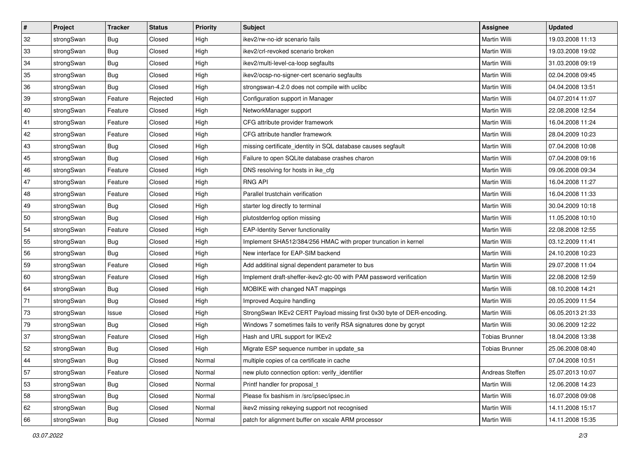| $\vert$ # | Project    | <b>Tracker</b> | <b>Status</b> | Priority | <b>Subject</b>                                                         | <b>Assignee</b>       | <b>Updated</b>   |
|-----------|------------|----------------|---------------|----------|------------------------------------------------------------------------|-----------------------|------------------|
| 32        | strongSwan | <b>Bug</b>     | Closed        | High     | ikev2/rw-no-idr scenario fails                                         | Martin Willi          | 19.03.2008 11:13 |
| 33        | strongSwan | Bug            | Closed        | High     | ikev2/crl-revoked scenario broken                                      | Martin Willi          | 19.03.2008 19:02 |
| 34        | strongSwan | <b>Bug</b>     | Closed        | High     | ikev2/multi-level-ca-loop segfaults                                    | Martin Willi          | 31.03.2008 09:19 |
| 35        | strongSwan | <b>Bug</b>     | Closed        | High     | ikev2/ocsp-no-signer-cert scenario segfaults                           | Martin Willi          | 02.04.2008 09:45 |
| 36        | strongSwan | Bug            | Closed        | High     | strongswan-4.2.0 does not compile with uclibc                          | Martin Willi          | 04.04.2008 13:51 |
| 39        | strongSwan | Feature        | Rejected      | High     | Configuration support in Manager                                       | Martin Willi          | 04.07.2014 11:07 |
| 40        | strongSwan | Feature        | Closed        | High     | NetworkManager support                                                 | Martin Willi          | 22.08.2008 12:54 |
| 41        | strongSwan | Feature        | Closed        | High     | CFG attribute provider framework                                       | Martin Willi          | 16.04.2008 11:24 |
| 42        | strongSwan | Feature        | Closed        | High     | CFG attribute handler framework                                        | Martin Willi          | 28.04.2009 10:23 |
| 43        | strongSwan | Bug            | Closed        | High     | missing certificate_identity in SQL database causes segfault           | Martin Willi          | 07.04.2008 10:08 |
| 45        | strongSwan | <b>Bug</b>     | Closed        | High     | Failure to open SQLite database crashes charon                         | Martin Willi          | 07.04.2008 09:16 |
| 46        | strongSwan | Feature        | Closed        | High     | DNS resolving for hosts in ike_cfg                                     | <b>Martin Willi</b>   | 09.06.2008 09:34 |
| 47        | strongSwan | Feature        | Closed        | High     | <b>RNG API</b>                                                         | Martin Willi          | 16.04.2008 11:27 |
| 48        | strongSwan | Feature        | Closed        | High     | Parallel trustchain verification                                       | Martin Willi          | 16.04.2008 11:33 |
| 49        | strongSwan | Bug            | Closed        | High     | starter log directly to terminal                                       | Martin Willi          | 30.04.2009 10:18 |
| 50        | strongSwan | <b>Bug</b>     | Closed        | High     | plutostderrlog option missing                                          | Martin Willi          | 11.05.2008 10:10 |
| 54        | strongSwan | Feature        | Closed        | High     | <b>EAP-Identity Server functionality</b>                               | Martin Willi          | 22.08.2008 12:55 |
| 55        | strongSwan | Bug            | Closed        | High     | Implement SHA512/384/256 HMAC with proper truncation in kernel         | Martin Willi          | 03.12.2009 11:41 |
| 56        | strongSwan | <b>Bug</b>     | Closed        | High     | New interface for EAP-SIM backend                                      | Martin Willi          | 24.10.2008 10:23 |
| 59        | strongSwan | Feature        | Closed        | High     | Add additinal signal dependent parameter to bus                        | Martin Willi          | 29.07.2008 11:04 |
| 60        | strongSwan | Feature        | Closed        | High     | Implement draft-sheffer-ikev2-gtc-00 with PAM password verification    | Martin Willi          | 22.08.2008 12:59 |
| 64        | strongSwan | <b>Bug</b>     | Closed        | High     | MOBIKE with changed NAT mappings                                       | Martin Willi          | 08.10.2008 14:21 |
| 71        | strongSwan | Bug            | Closed        | High     | Improved Acquire handling                                              | Martin Willi          | 20.05.2009 11:54 |
| 73        | strongSwan | Issue          | Closed        | High     | StrongSwan IKEv2 CERT Payload missing first 0x30 byte of DER-encoding. | Martin Willi          | 06.05.2013 21:33 |
| 79        | strongSwan | <b>Bug</b>     | Closed        | High     | Windows 7 sometimes fails to verify RSA signatures done by gcrypt      | Martin Willi          | 30.06.2009 12:22 |
| 37        | strongSwan | Feature        | Closed        | High     | Hash and URL support for IKEv2                                         | <b>Tobias Brunner</b> | 18.04.2008 13:38 |
| 52        | strongSwan | Bug            | Closed        | High     | Migrate ESP sequence number in update_sa                               | <b>Tobias Brunner</b> | 25.06.2008 08:40 |
| 44        | strongSwan | <b>Bug</b>     | Closed        | Normal   | multiple copies of ca certificate in cache                             |                       | 07.04.2008 10:51 |
| 57        | strongSwan | Feature        | Closed        | Normal   | new pluto connection option: verify identifier                         | Andreas Steffen       | 25.07.2013 10:07 |
| 53        | strongSwan | Bug            | Closed        | Normal   | Printf handler for proposal_t                                          | Martin Willi          | 12.06.2008 14:23 |
| 58        | strongSwan | <b>Bug</b>     | Closed        | Normal   | Please fix bashism in /src/ipsec/ipsec.in                              | Martin Willi          | 16.07.2008 09:08 |
| 62        | strongSwan | Bug            | Closed        | Normal   | ikev2 missing rekeying support not recognised                          | Martin Willi          | 14.11.2008 15:17 |
| 66        | strongSwan | <b>Bug</b>     | Closed        | Normal   | patch for alignment buffer on xscale ARM processor                     | Martin Willi          | 14.11.2008 15:35 |